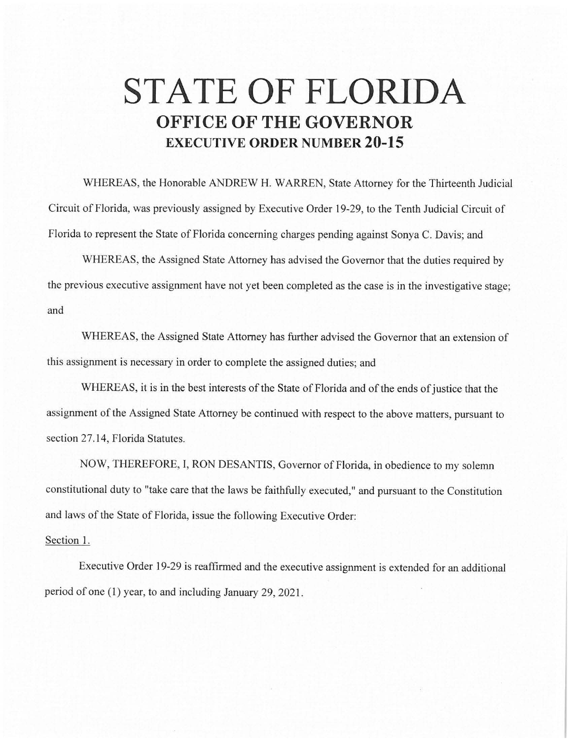## **STATE OF FLORIDA OFFICE OF THE GOVERNOR EXECUTIVE ORDER NUMBER 20-15**

WHEREAS, the Honorable ANDREW H. WARREN, State Attorney for the Thirteenth Judicial Circuit of Florida, was previously assigned by Executive Order 19-29, to the Tenth Judicial Circuit of Florida to represent the State of Florida concerning charges pending against Sonya C. Davis; and

WHEREAS, the Assigned State Attorney has advised the Governor that the duties required by the previous executive assignment have not yet been completed as the case is in the investigative stage; and

WHEREAS, the Assigned State Attorney has further advised the Governor that an extension of this assignment is necessary in order to complete the assigned duties; and

WHEREAS, it is in the best interests of the State of Florida and of the ends of justice that the assignment of the Assigned State Attorney be continued with respect to the above matters, pursuant to section 27.14, Florida Statutes.

NOW, THEREFORE, I, RON DESANTIS, Governor of Florida, in obedience to my solemn constitutional duty to "take care that the laws be faithfully executed," and pursuant to the Constitution and laws of the State of Florida, issue the following Executive Order:

## Section 1.

Executive Order 19-29 is reaffirmed and the executive assignment is extended for an additional period of one (1) year, to and including January 29, 2021.